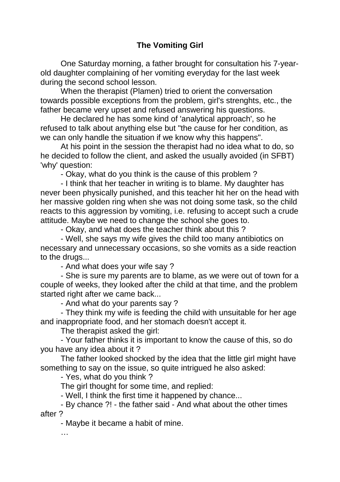## **The Vomiting Girl**

 One Saturday morning, a father brought for consultation his 7-yearold daughter complaining of her vomiting everyday for the last week during the second school lesson.

 When the therapist (Plamen) tried to orient the conversation towards possible exceptions from the problem, girl's strenghts, etc., the father became very upset and refused answering his questions.

 He declared he has some kind of 'analytical approach', so he refused to talk about anything else but "the cause for her condition, as we can only handle the situation if we know why this happens".

 At his point in the session the therapist had no idea what to do, so he decided to follow the client, and asked the usually avoided (in SFBT) 'why' question:

- Okay, what do you think is the cause of this problem ?

 - I think that her teacher in writing is to blame. My daughter has never been physically punished, and this teacher hit her on the head with her massive golden ring when she was not doing some task, so the child reacts to this aggression by vomiting, i.e. refusing to accept such a crude attitude. Maybe we need to change the school she goes to.

- Okay, and what does the teacher think about this ?

 - Well, she says my wife gives the child too many antibiotics on necessary and unnecessary occasions, so she vomits as a side reaction to the drugs...

- And what does your wife say ?

 - She is sure my parents are to blame, as we were out of town for a couple of weeks, they looked after the child at that time, and the problem started right after we came back...

- And what do your parents say ?

 - They think my wife is feeding the child with unsuitable for her age and inappropriate food, and her stomach doesn't accept it.

The therapist asked the girl:

 - Your father thinks it is important to know the cause of this, so do you have any idea about it ?

 The father looked shocked by the idea that the little girl might have something to say on the issue, so quite intrigued he also asked:

- Yes, what do you think ?

The girl thought for some time, and replied:

- Well, I think the first time it happened by chance...

 - By chance ?! - the father said - And what about the other times after ?

- Maybe it became a habit of mine.

…